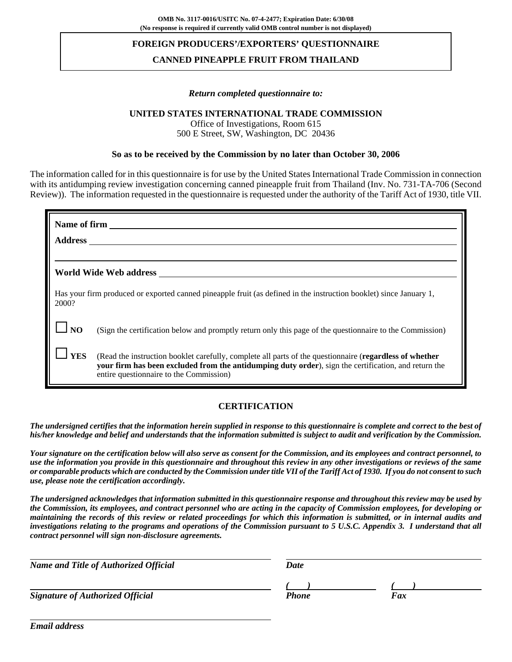## **FOREIGN PRODUCERS'/EXPORTERS' QUESTIONNAIRE**

# **CANNED PINEAPPLE FRUIT FROM THAILAND**

#### *Return completed questionnaire to:*

### **UNITED STATES INTERNATIONAL TRADE COMMISSION**

Office of Investigations, Room 615 500 E Street, SW, Washington, DC 20436

### **So as to be received by the Commission by no later than October 30, 2006**

The information called for in this questionnaire is for use by the United States International Trade Commission in connection with its antidumping review investigation concerning canned pineapple fruit from Thailand (Inv. No. 731-TA-706 (Second Review)). The information requested in the questionnaire is requested under the authority of the Tariff Act of 1930, title VII.

| Name of firm<br>Address and the contract of the contract of the contract of the contract of the contract of the contract of the contract of the contract of the contract of the contract of the contract of the contract of the contract of th |                                                                                                                                                                                                                                                                    |  |  |  |  |  |  |
|------------------------------------------------------------------------------------------------------------------------------------------------------------------------------------------------------------------------------------------------|--------------------------------------------------------------------------------------------------------------------------------------------------------------------------------------------------------------------------------------------------------------------|--|--|--|--|--|--|
|                                                                                                                                                                                                                                                | World Wide Web address                                                                                                                                                                                                                                             |  |  |  |  |  |  |
| 2000?                                                                                                                                                                                                                                          | Has your firm produced or exported canned pineapple fruit (as defined in the instruction booklet) since January 1,                                                                                                                                                 |  |  |  |  |  |  |
| N <sub>O</sub>                                                                                                                                                                                                                                 | (Sign the certification below and promptly return only this page of the questionnaire to the Commission)                                                                                                                                                           |  |  |  |  |  |  |
| <b>YES</b>                                                                                                                                                                                                                                     | (Read the instruction booklet carefully, complete all parts of the questionnaire ( <b>regardless of whether</b><br>your firm has been excluded from the antidumping duty order), sign the certification, and return the<br>entire questionnaire to the Commission) |  |  |  |  |  |  |

## **CERTIFICATION**

*The undersigned certifies that the information herein supplied in response to this questionnaire is complete and correct to the best of his/her knowledge and belief and understands that the information submitted is subject to audit and verification by the Commission.*

*Your signature on the certification below will also serve as consent for the Commission, and its employees and contract personnel, to use the information you provide in this questionnaire and throughout this review in any other investigations or reviews of the same or comparable products which are conducted by the Commission under title VII of the Tariff Act of 1930. If you do not consent to such use, please note the certification accordingly.*

*The undersigned acknowledges that information submitted in this questionnaire response and throughout this review may be used by the Commission, its employees, and contract personnel who are acting in the capacity of Commission employees, for developing or maintaining the records of this review or related proceedings for which this information is submitted, or in internal audits and investigations relating to the programs and operations of the Commission pursuant to 5 U.S.C. Appendix 3. I understand that all contract personnel will sign non-disclosure agreements.*

| <b>Name and Title of Authorized Official</b> | <b>Date</b>  |     |
|----------------------------------------------|--------------|-----|
|                                              |              |     |
| <b>Signature of Authorized Official</b>      | <b>Phone</b> | Fax |

*Email address*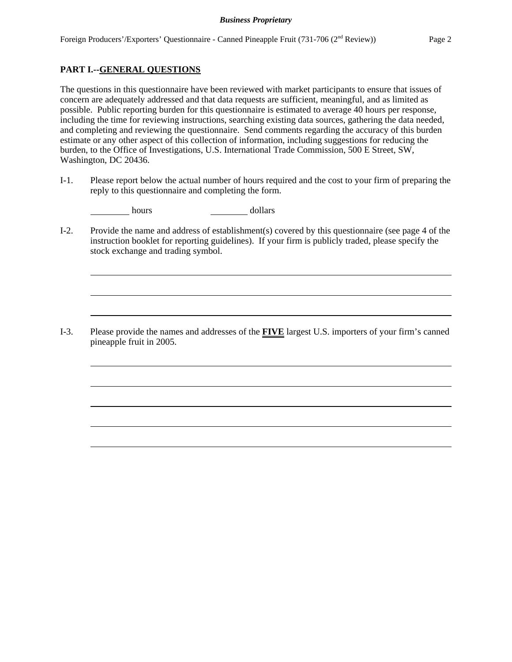# **PART I.--GENERAL QUESTIONS**

The questions in this questionnaire have been reviewed with market participants to ensure that issues of concern are adequately addressed and that data requests are sufficient, meaningful, and as limited as possible. Public reporting burden for this questionnaire is estimated to average 40 hours per response, including the time for reviewing instructions, searching existing data sources, gathering the data needed, and completing and reviewing the questionnaire. Send comments regarding the accuracy of this burden estimate or any other aspect of this collection of information, including suggestions for reducing the burden, to the Office of Investigations, U.S. International Trade Commission, 500 E Street, SW, Washington, DC 20436.

I-1. Please report below the actual number of hours required and the cost to your firm of preparing the reply to this questionnaire and completing the form.

hours dollars

I-2. Provide the name and address of establishment(s) covered by this questionnaire (see page 4 of the instruction booklet for reporting guidelines). If your firm is publicly traded, please specify the stock exchange and trading symbol.

I-3. Please provide the names and addresses of the **FIVE** largest U.S. importers of your firm's canned pineapple fruit in 2005.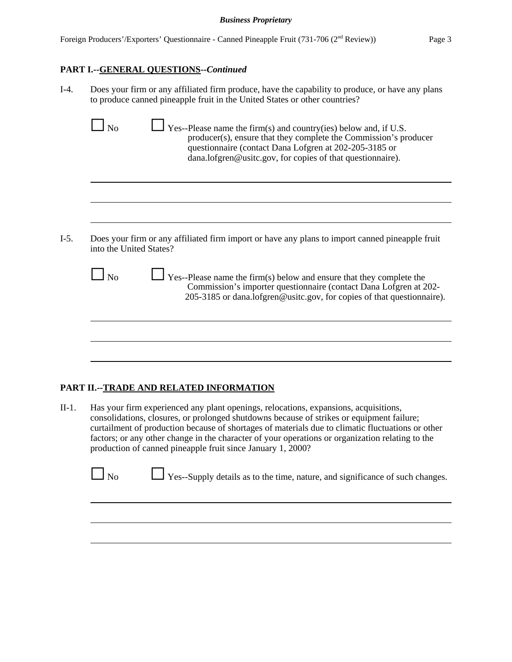# **PART I.--GENERAL QUESTIONS--***Continued*

I-4. Does your firm or any affiliated firm produce, have the capability to produce, or have any plans to produce canned pineapple fruit in the United States or other countries?

|                         | questionnaire (contact Dana Lofgren at 202-205-3185 or<br>dana.lofgren@usitc.gov, for copies of that questionnaire).                                                                                                |
|-------------------------|---------------------------------------------------------------------------------------------------------------------------------------------------------------------------------------------------------------------|
|                         |                                                                                                                                                                                                                     |
| into the United States? | Does your firm or any affiliated firm import or have any plans to import canned pineapple fruit                                                                                                                     |
| $\Box$ No               | Yes--Please name the firm(s) below and ensure that they complete the<br>Commission's importer questionnaire (contact Dana Lofgren at 202-<br>205-3185 or dana.lofgren@usitc.gov, for copies of that questionnaire). |
|                         |                                                                                                                                                                                                                     |
|                         |                                                                                                                                                                                                                     |

# **PART II.--TRADE AND RELATED INFORMATION**

II-1. Has your firm experienced any plant openings, relocations, expansions, acquisitions, consolidations, closures, or prolonged shutdowns because of strikes or equipment failure; curtailment of production because of shortages of materials due to climatic fluctuations or other factors; or any other change in the character of your operations or organization relating to the production of canned pineapple fruit since January 1, 2000?

 $\Box$  No  $\Box$  Yes--Supply details as to the time, nature, and significance of such changes.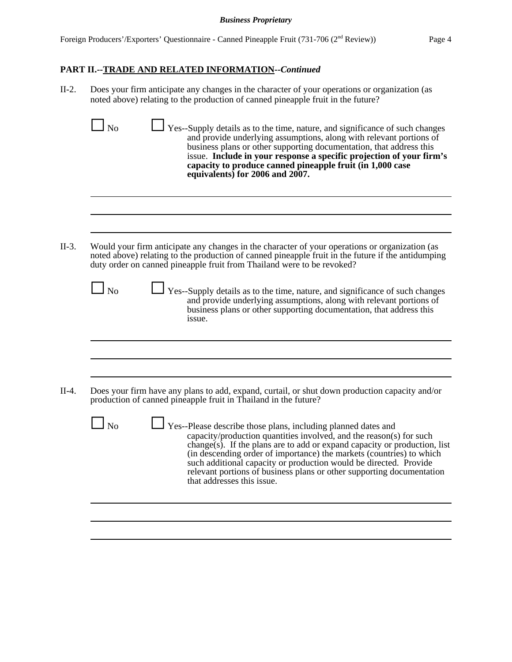# **PART II.--TRADE AND RELATED INFORMATION--***Continued*

II-2. Does your firm anticipate any changes in the character of your operations or organization (as noted above) relating to the production of canned pineapple fruit in the future?

|            | capacity to produce canned pineapple fruit (in 1,000 case<br>equivalents) for 2006 and 2007.                                                                                                                                                                                                                                                                                                                                                                          |
|------------|-----------------------------------------------------------------------------------------------------------------------------------------------------------------------------------------------------------------------------------------------------------------------------------------------------------------------------------------------------------------------------------------------------------------------------------------------------------------------|
|            |                                                                                                                                                                                                                                                                                                                                                                                                                                                                       |
|            | Would your firm anticipate any changes in the character of your operations or organization (as<br>noted above) relating to the production of canned pineapple fruit in the future if the antidumping<br>duty order on canned pineapple fruit from Thailand were to be revoked?                                                                                                                                                                                        |
| $\Box$ No  | Yes--Supply details as to the time, nature, and significance of such changes<br>and provide underlying assumptions, along with relevant portions of<br>business plans or other supporting documentation, that address this<br>issue.                                                                                                                                                                                                                                  |
|            |                                                                                                                                                                                                                                                                                                                                                                                                                                                                       |
|            |                                                                                                                                                                                                                                                                                                                                                                                                                                                                       |
|            | Does your firm have any plans to add, expand, curtail, or shut down production capacity and/or<br>production of canned pineapple fruit in Thailand in the future?                                                                                                                                                                                                                                                                                                     |
| $\perp$ No | Yes--Please describe those plans, including planned dates and<br>capacity/production quantities involved, and the reason(s) for such<br>change(s). If the plans are to add or expand capacity or production, list<br>(in descending order of importance) the markets (countries) to which<br>such additional capacity or production would be directed. Provide<br>relevant portions of business plans or other supporting documentation<br>that addresses this issue. |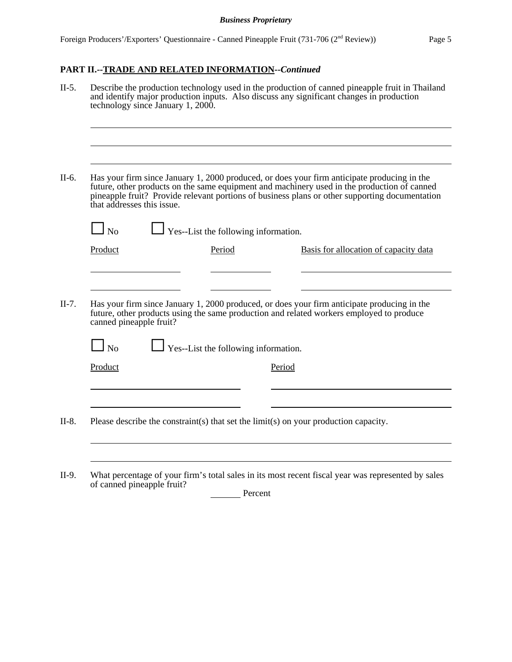# **PART II.--TRADE AND RELATED INFORMATION--***Continued*

|                                      | technology since January 1, 2000.           |        |        | Describe the production technology used in the production of canned pineapple fruit in Thailand<br>and identify major production inputs. Also discuss any significant changes in production                                                                                                  |
|--------------------------------------|---------------------------------------------|--------|--------|----------------------------------------------------------------------------------------------------------------------------------------------------------------------------------------------------------------------------------------------------------------------------------------------|
| that addresses this issue.           |                                             |        |        | Has your firm since January 1, 2000 produced, or does your firm anticipate producing in the<br>future, other products on the same equipment and machinery used in the production of canned<br>pineapple fruit? Provide relevant portions of business plans or other supporting documentation |
| $\Box$ No                            | $\Box$ Yes--List the following information. |        |        |                                                                                                                                                                                                                                                                                              |
| Product                              |                                             | Period |        | Basis for allocation of capacity data                                                                                                                                                                                                                                                        |
|                                      |                                             |        |        | Has your firm since January 1, 2000 produced, or does your firm anticipate producing in the<br>future, other products using the same production and related workers employed to produce                                                                                                      |
| canned pineapple fruit?<br>$\Box$ No | $\Box$ Yes--List the following information. |        |        |                                                                                                                                                                                                                                                                                              |
| Product                              |                                             |        | Period |                                                                                                                                                                                                                                                                                              |

II-9. What percentage of your firm's total sales in its most recent fiscal year was represented by sales of canned pineapple fruit?

Percent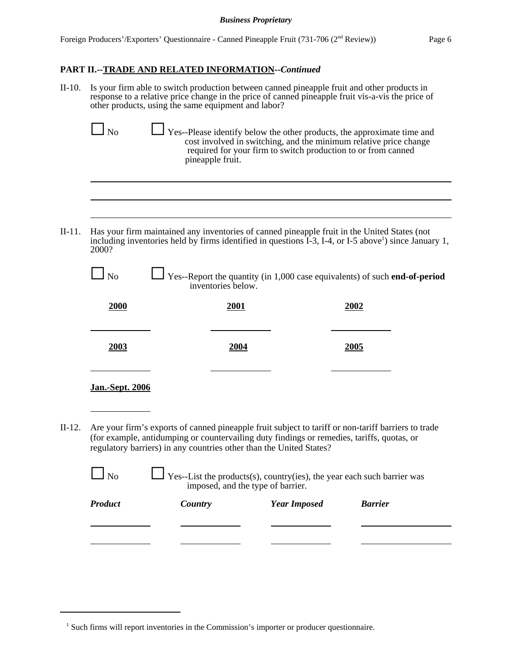# **PART II.--TRADE AND RELATED INFORMATION--***Continued*

II-10. Is your firm able to switch production between canned pineapple fruit and other products in response to a relative price change in the price of canned pineapple fruit vis-a-vis the price of other products, using the same equipment and labor?

| $\Box$ No | $\Box$ Yes--Please identify below the other products, the approximate time and                                                                         |
|-----------|--------------------------------------------------------------------------------------------------------------------------------------------------------|
|           | cost involved in switching, and the minimum relative price change<br>required for your firm to switch production to or from canned<br>pineapple fruit. |

II-11. Has your firm maintained any inventories of canned pineapple fruit in the United States (not including inventories held by firms identified in questions  $\hat{I}$ -3, I-4, or I-5 above<sup>1</sup>) since January 1, 2000?

| $\Box$ No | $\Box$ Yes--Report the quantity (in 1,000 case equivalents) of such end-of-period<br>inventories below. |
|-----------|---------------------------------------------------------------------------------------------------------|
|           |                                                                                                         |

| 2000                   | 2001 | 2002 |
|------------------------|------|------|
| 2003                   | 2004 | 2005 |
| <b>Jan.-Sept. 2006</b> |      |      |

II-12. Are your firm's exports of canned pineapple fruit subject to tariff or non-tariff barriers to trade (for example, antidumping or countervailing duty findings or remedies, tariffs, quotas, or regulatory barriers) in any countries other than the United States?

| $N_0$          | $\Box$ Yes--List the products(s), country(ies), the year each such barrier was<br>imposed, and the type of barrier. |                     |                |
|----------------|---------------------------------------------------------------------------------------------------------------------|---------------------|----------------|
| <b>Product</b> | Country                                                                                                             | <b>Year Imposed</b> | <b>Barrier</b> |
|                |                                                                                                                     |                     |                |
|                |                                                                                                                     |                     |                |

<sup>&</sup>lt;sup>1</sup> Such firms will report inventories in the Commission's importer or producer questionnaire.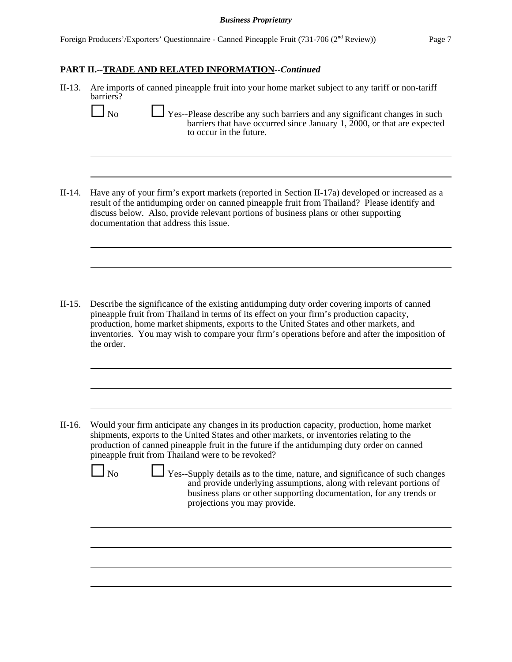# **PART II.--TRADE AND RELATED INFORMATION--***Continued*

| $II-13.$ | Are imports of canned pineapple fruit into your home market subject to any tariff or non-tariff<br>barriers?<br>N <sub>o</sub><br>Yes--Please describe any such barriers and any significant changes in such<br>barriers that have occurred since January 1, $2000$ , or that are expected<br>to occur in the future.                                                                                                                                                                                                                                                                                                      |
|----------|----------------------------------------------------------------------------------------------------------------------------------------------------------------------------------------------------------------------------------------------------------------------------------------------------------------------------------------------------------------------------------------------------------------------------------------------------------------------------------------------------------------------------------------------------------------------------------------------------------------------------|
| $II-14.$ | Have any of your firm's export markets (reported in Section II-17a) developed or increased as a<br>result of the antidumping order on canned pineapple fruit from Thailand? Please identify and<br>discuss below. Also, provide relevant portions of business plans or other supporting<br>documentation that address this issue.                                                                                                                                                                                                                                                                                          |
|          |                                                                                                                                                                                                                                                                                                                                                                                                                                                                                                                                                                                                                            |
| $II-15.$ | Describe the significance of the existing antidumping duty order covering imports of canned<br>pineapple fruit from Thailand in terms of its effect on your firm's production capacity,<br>production, home market shipments, exports to the United States and other markets, and<br>inventories. You may wish to compare your firm's operations before and after the imposition of<br>the order.                                                                                                                                                                                                                          |
|          |                                                                                                                                                                                                                                                                                                                                                                                                                                                                                                                                                                                                                            |
| $II-16.$ | Would your firm anticipate any changes in its production capacity, production, home market<br>shipments, exports to the United States and other markets, or inventories relating to the<br>production of canned pineapple fruit in the future if the antidumping duty order on canned<br>pineapple fruit from Thailand were to be revoked?<br>N <sub>o</sub><br>Yes--Supply details as to the time, nature, and significance of such changes<br>and provide underlying assumptions, along with relevant portions of<br>business plans or other supporting documentation, for any trends or<br>projections you may provide. |
|          |                                                                                                                                                                                                                                                                                                                                                                                                                                                                                                                                                                                                                            |
|          |                                                                                                                                                                                                                                                                                                                                                                                                                                                                                                                                                                                                                            |
|          |                                                                                                                                                                                                                                                                                                                                                                                                                                                                                                                                                                                                                            |
|          |                                                                                                                                                                                                                                                                                                                                                                                                                                                                                                                                                                                                                            |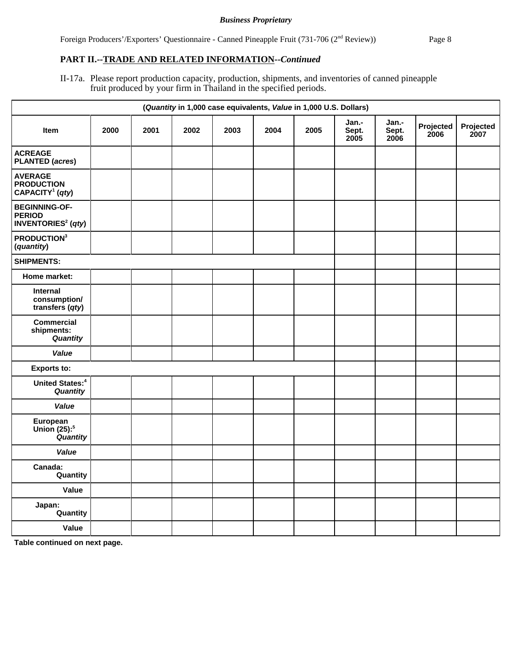Foreign Producers'/Exporters' Questionnaire - Canned Pineapple Fruit (731-706 (2<sup>nd</sup> Review)) Page 8

## **PART II.--TRADE AND RELATED INFORMATION--***Continued*

II-17a. Please report production capacity, production, shipments, and inventories of canned pineapple fruit produced by your firm in Thailand in the specified periods.

|                                                                               | (Quantity in 1,000 case equivalents, Value in 1,000 U.S. Dollars) |      |      |      |      |      |                        |                        |                   |                   |
|-------------------------------------------------------------------------------|-------------------------------------------------------------------|------|------|------|------|------|------------------------|------------------------|-------------------|-------------------|
| Item                                                                          | 2000                                                              | 2001 | 2002 | 2003 | 2004 | 2005 | Jan.-<br>Sept.<br>2005 | Jan.-<br>Sept.<br>2006 | Projected<br>2006 | Projected<br>2007 |
| <b>ACREAGE</b><br><b>PLANTED (acres)</b>                                      |                                                                   |      |      |      |      |      |                        |                        |                   |                   |
| <b>AVERAGE</b><br><b>PRODUCTION</b><br>CAPACITY <sup>1</sup> (qty)            |                                                                   |      |      |      |      |      |                        |                        |                   |                   |
| <b>BEGINNING-OF-</b><br><b>PERIOD</b><br><b>INVENTORIES<sup>2</sup></b> (qty) |                                                                   |      |      |      |      |      |                        |                        |                   |                   |
| PRODUCTION <sup>3</sup><br>(quantity)                                         |                                                                   |      |      |      |      |      |                        |                        |                   |                   |
| <b>SHIPMENTS:</b>                                                             |                                                                   |      |      |      |      |      |                        |                        |                   |                   |
| Home market:                                                                  |                                                                   |      |      |      |      |      |                        |                        |                   |                   |
| Internal<br>consumption/<br>transfers (qty)                                   |                                                                   |      |      |      |      |      |                        |                        |                   |                   |
| <b>Commercial</b><br>shipments:<br>Quantity                                   |                                                                   |      |      |      |      |      |                        |                        |                   |                   |
| Value                                                                         |                                                                   |      |      |      |      |      |                        |                        |                   |                   |
| <b>Exports to:</b>                                                            |                                                                   |      |      |      |      |      |                        |                        |                   |                   |
| <b>United States:</b> <sup>4</sup><br>Quantity                                |                                                                   |      |      |      |      |      |                        |                        |                   |                   |
| Value                                                                         |                                                                   |      |      |      |      |      |                        |                        |                   |                   |
| European<br>Union (25): <sup>5</sup><br>Quantity                              |                                                                   |      |      |      |      |      |                        |                        |                   |                   |
| Value                                                                         |                                                                   |      |      |      |      |      |                        |                        |                   |                   |
| Canada:<br>Quantity                                                           |                                                                   |      |      |      |      |      |                        |                        |                   |                   |
| Value                                                                         |                                                                   |      |      |      |      |      |                        |                        |                   |                   |
| Japan:<br>Quantity                                                            |                                                                   |      |      |      |      |      |                        |                        |                   |                   |
| Value                                                                         |                                                                   |      |      |      |      |      |                        |                        |                   |                   |

**Table continued on next page.**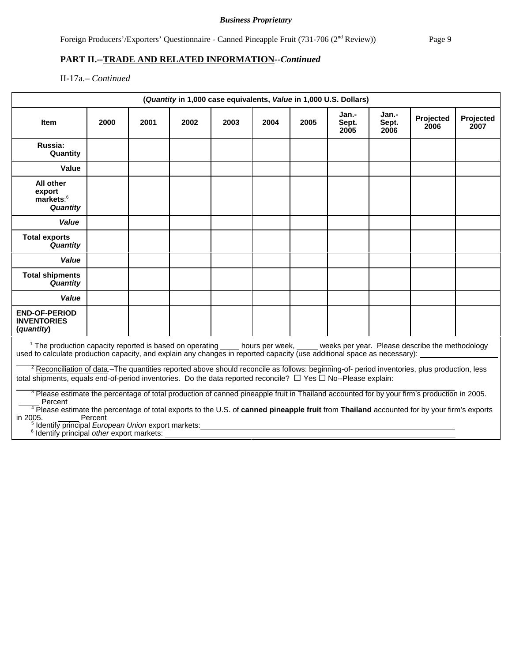Foreign Producers'/Exporters' Questionnaire - Canned Pineapple Fruit (731-706 (2<sup>nd</sup> Review)) Page 9

# **PART II.--TRADE AND RELATED INFORMATION--***Continued*

II-17a.– *Continued*

|                                                                                                                                                                                                                                                                                                                                                                                                                                                                                                                                                                                                                                                                                                                                                                                                                                                                                                                                                                                                                             |         |      |      |      |      |      | (Quantity in 1,000 case equivalents, Value in 1,000 U.S. Dollars) |                        |                   |                   |
|-----------------------------------------------------------------------------------------------------------------------------------------------------------------------------------------------------------------------------------------------------------------------------------------------------------------------------------------------------------------------------------------------------------------------------------------------------------------------------------------------------------------------------------------------------------------------------------------------------------------------------------------------------------------------------------------------------------------------------------------------------------------------------------------------------------------------------------------------------------------------------------------------------------------------------------------------------------------------------------------------------------------------------|---------|------|------|------|------|------|-------------------------------------------------------------------|------------------------|-------------------|-------------------|
| <b>Item</b>                                                                                                                                                                                                                                                                                                                                                                                                                                                                                                                                                                                                                                                                                                                                                                                                                                                                                                                                                                                                                 | 2000    | 2001 | 2002 | 2003 | 2004 | 2005 | Jan.-<br>Sept.<br>2005                                            | Jan.-<br>Sept.<br>2006 | Projected<br>2006 | Projected<br>2007 |
| Russia:<br>Quantity                                                                                                                                                                                                                                                                                                                                                                                                                                                                                                                                                                                                                                                                                                                                                                                                                                                                                                                                                                                                         |         |      |      |      |      |      |                                                                   |                        |                   |                   |
| Value                                                                                                                                                                                                                                                                                                                                                                                                                                                                                                                                                                                                                                                                                                                                                                                                                                                                                                                                                                                                                       |         |      |      |      |      |      |                                                                   |                        |                   |                   |
| All other<br>export<br>markets: <sup>6</sup><br>Quantity                                                                                                                                                                                                                                                                                                                                                                                                                                                                                                                                                                                                                                                                                                                                                                                                                                                                                                                                                                    |         |      |      |      |      |      |                                                                   |                        |                   |                   |
| Value                                                                                                                                                                                                                                                                                                                                                                                                                                                                                                                                                                                                                                                                                                                                                                                                                                                                                                                                                                                                                       |         |      |      |      |      |      |                                                                   |                        |                   |                   |
| <b>Total exports</b><br><b>Quantity</b>                                                                                                                                                                                                                                                                                                                                                                                                                                                                                                                                                                                                                                                                                                                                                                                                                                                                                                                                                                                     |         |      |      |      |      |      |                                                                   |                        |                   |                   |
| Value                                                                                                                                                                                                                                                                                                                                                                                                                                                                                                                                                                                                                                                                                                                                                                                                                                                                                                                                                                                                                       |         |      |      |      |      |      |                                                                   |                        |                   |                   |
| <b>Total shipments</b><br>Quantity                                                                                                                                                                                                                                                                                                                                                                                                                                                                                                                                                                                                                                                                                                                                                                                                                                                                                                                                                                                          |         |      |      |      |      |      |                                                                   |                        |                   |                   |
| Value                                                                                                                                                                                                                                                                                                                                                                                                                                                                                                                                                                                                                                                                                                                                                                                                                                                                                                                                                                                                                       |         |      |      |      |      |      |                                                                   |                        |                   |                   |
| <b>END-OF-PERIOD</b><br><b>INVENTORIES</b><br>(quantity)                                                                                                                                                                                                                                                                                                                                                                                                                                                                                                                                                                                                                                                                                                                                                                                                                                                                                                                                                                    |         |      |      |      |      |      |                                                                   |                        |                   |                   |
| <sup>1</sup> The production capacity reported is based on operating hours per week, weeks per year. Please describe the methodology<br>used to calculate production capacity, and explain any changes in reported capacity (use additional space as necessary):<br><sup>2</sup> Reconciliation of data.–The quantities reported above should reconcile as follows: beginning-of- period inventories, plus production, less<br>total shipments, equals end-of-period inventories. Do the data reported reconcile? $\Box$ Yes $\Box$ No--Please explain:<br><sup>3</sup> Please estimate the percentage of total production of canned pineapple fruit in Thailand accounted for by your firm's production in 2005.<br>Percent<br><sup>4</sup> Please estimate the percentage of total exports to the U.S. of canned pineapple fruit from Thailand accounted for by your firm's exports<br>in 2005.<br><sup>5</sup> Identify principal European Union export markets:<br><sup>6</sup> Identify principal other export markets: | Percent |      |      |      |      |      |                                                                   |                        |                   |                   |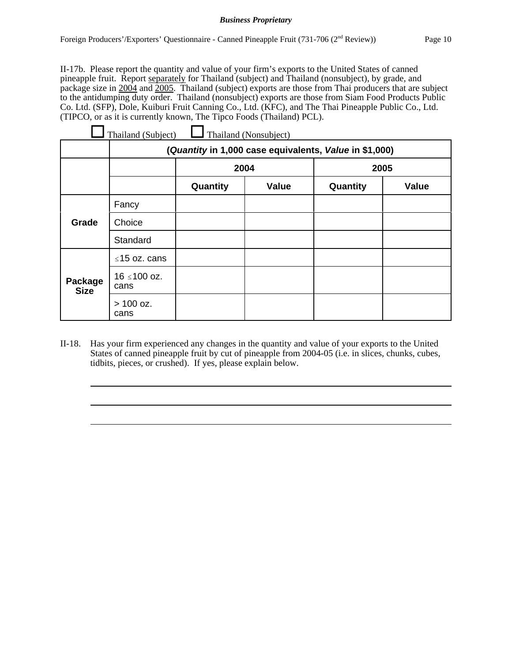II-17b. Please report the quantity and value of your firm's exports to the United States of canned pineapple fruit. Report separately for Thailand (subject) and Thailand (nonsubject), by grade, and package size in 2004 and 2005. Thailand (subject) exports are those from Thai producers that are subject to the antidumping duty order. Thailand (nonsubject) exports are those from Siam Food Products Public Co. Ltd. (SFP), Dole, Kuiburi Fruit Canning Co., Ltd. (KFC), and The Thai Pineapple Public Co., Ltd. (TIPCO, or as it is currently known, The Tipco Foods (Thailand) PCL).

| Thailand (Nonsubject)<br>Thailand (Subject) |                                                        |          |              |          |       |  |
|---------------------------------------------|--------------------------------------------------------|----------|--------------|----------|-------|--|
|                                             | (Quantity in 1,000 case equivalents, Value in \$1,000) |          |              |          |       |  |
|                                             |                                                        | 2004     |              | 2005     |       |  |
|                                             |                                                        | Quantity | <b>Value</b> | Quantity | Value |  |
| Grade                                       | Fancy                                                  |          |              |          |       |  |
|                                             | Choice                                                 |          |              |          |       |  |
|                                             | Standard                                               |          |              |          |       |  |
| Package<br><b>Size</b>                      | $\leq$ 15 oz. cans                                     |          |              |          |       |  |
|                                             | 16 ≤100 oz.<br>cans                                    |          |              |          |       |  |
|                                             | $> 100$ oz.<br>cans                                    |          |              |          |       |  |

II-18. Has your firm experienced any changes in the quantity and value of your exports to the United States of canned pineapple fruit by cut of pineapple from 2004-05 (i.e. in slices, chunks, cubes, tidbits, pieces, or crushed). If yes, please explain below.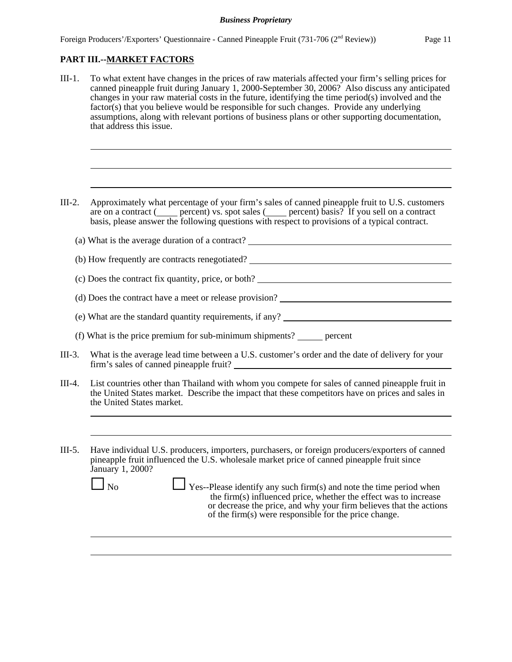# **PART III.--MARKET FACTORS**

- III-1. To what extent have changes in the prices of raw materials affected your firm's selling prices for canned pineapple fruit during January 1, 2000-September 30, 2006? Also discuss any anticipated changes in your raw material costs in the future, identifying the time period(s) involved and the factor(s) that you believe would be responsible for such changes. Provide any underlying assumptions, along with relevant portions of business plans or other supporting documentation, that address this issue.
- III-2. Approximately what percentage of your firm's sales of canned pineapple fruit to U.S. customers are on a contract ( $\qquad$  percent) vs. spot sales ( $\qquad$  percent) basis? If you sell on a contract basis, please answer the following questions with respect to provisions of a typical contract.
	- (a) What is the average duration of a contract? (b) How frequently are contracts renegotiated?
	- (c) Does the contract fix quantity, price, or both?
	- (d) Does the contract have a meet or release provision?
	- (e) What are the standard quantity requirements, if any?
	- (f) What is the price premium for sub-minimum shipments? percent
- III-3. What is the average lead time between a U.S. customer's order and the date of delivery for your firm's sales of canned pineapple fruit?
- III-4. List countries other than Thailand with whom you compete for sales of canned pineapple fruit in the United States market. Describe the impact that these competitors have on prices and sales in the United States market.
- III-5. Have individual U.S. producers, importers, purchasers, or foreign producers/exporters of canned pineapple fruit influenced the U.S. wholesale market price of canned pineapple fruit since January 1, 2000?
	-

 $\Box$  No  $\Box$  Yes--Please identify any such firm(s) and note the time period when the firm(s) influenced price, whether the effect was to increase or decrease the price, and why your firm believes that the actions of the firm(s) were responsible for the price change.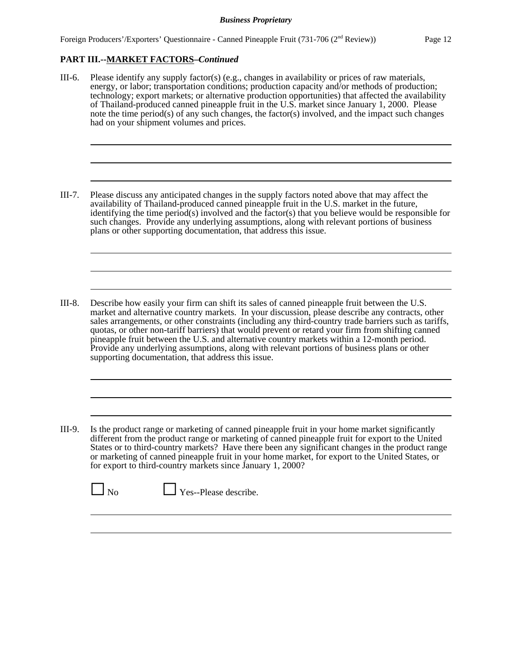# **PART III.--MARKET FACTORS–***Continued*

III-6. Please identify any supply factor(s) (e.g., changes in availability or prices of raw materials, energy, or labor; transportation conditions; production capacity and/or methods of production; technology; export markets; or alternative production opportunities) that affected the availability of Thailand-produced canned pineapple fruit in the U.S. market since January 1, 2000. Please note the time period(s) of any such changes, the factor(s) involved, and the impact such changes had on your shipment volumes and prices.

III-7. Please discuss any anticipated changes in the supply factors noted above that may affect the availability of Thailand-produced canned pineapple fruit in the U.S. market in the future, identifying the time period(s) involved and the factor(s) that you believe would be responsible for such changes. Provide any underlying assumptions, along with relevant portions of business plans or other supporting documentation, that address this issue.

- III-8. Describe how easily your firm can shift its sales of canned pineapple fruit between the U.S. market and alternative country markets. In your discussion, please describe any contracts, other sales arrangements, or other constraints (including any third-country trade barriers such as tariffs, quotas, or other non-tariff barriers) that would prevent or retard your firm from shifting canned pineapple fruit between the U.S. and alternative country markets within a 12-month period. Provide any underlying assumptions, along with relevant portions of business plans or other supporting documentation, that address this issue.
- III-9. Is the product range or marketing of canned pineapple fruit in your home market significantly different from the product range or marketing of canned pineapple fruit for export to the United States or to third-country markets? Have there been any significant changes in the product range or marketing of canned pineapple fruit in your home market, for export to the United States, or for export to third-country markets since January 1, 2000?

 $\Box$  Yes--Please describe.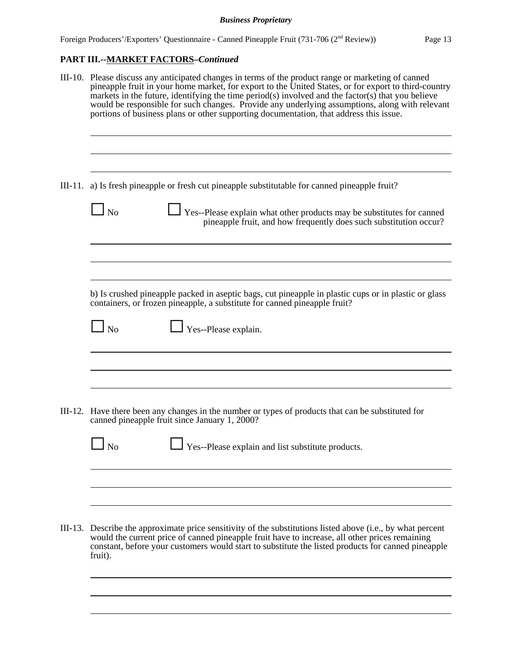# **PART III.--MARKET FACTORS–***Continued*

| III-10. Please discuss any anticipated changes in terms of the product range or marketing of canned<br>pineapple fruit in your home market, for export to the United States, or for export to third-country<br>markets in the future, identifying the time period(s) involved and the factor(s) that you believe<br>would be responsible for such changes. Provide any underlying assumptions, along with relevant<br>portions of business plans or other supporting documentation, that address this issue. |
|--------------------------------------------------------------------------------------------------------------------------------------------------------------------------------------------------------------------------------------------------------------------------------------------------------------------------------------------------------------------------------------------------------------------------------------------------------------------------------------------------------------|
| III-11. a) Is fresh pineapple or fresh cut pineapple substitutable for canned pineapple fruit?                                                                                                                                                                                                                                                                                                                                                                                                               |
| $\ln 5$<br>Yes--Please explain what other products may be substitutes for canned<br>pineapple fruit, and how frequently does such substitution occur?                                                                                                                                                                                                                                                                                                                                                        |
|                                                                                                                                                                                                                                                                                                                                                                                                                                                                                                              |
| b) Is crushed pineapple packed in aseptic bags, cut pineapple in plastic cups or in plastic or glass<br>containers, or frozen pineapple, a substitute for canned pineapple fruit?                                                                                                                                                                                                                                                                                                                            |
| $\Box$ Yes--Please explain.<br>$\Box$ No                                                                                                                                                                                                                                                                                                                                                                                                                                                                     |
|                                                                                                                                                                                                                                                                                                                                                                                                                                                                                                              |
| III-12. Have there been any changes in the number or types of products that can be substituted for<br>canned pineapple fruit since January 1, 2000?                                                                                                                                                                                                                                                                                                                                                          |
| $\Box$ No<br>$\perp$ Yes--Please explain and list substitute products.                                                                                                                                                                                                                                                                                                                                                                                                                                       |
|                                                                                                                                                                                                                                                                                                                                                                                                                                                                                                              |
|                                                                                                                                                                                                                                                                                                                                                                                                                                                                                                              |
| III-13. Describe the approximate price sensitivity of the substitutions listed above (i.e., by what percent<br>would the current price of canned pineapple fruit have to increase, all other prices remaining<br>constant, before your customers would start to substitute the listed products for canned pineapple<br>fruit).                                                                                                                                                                               |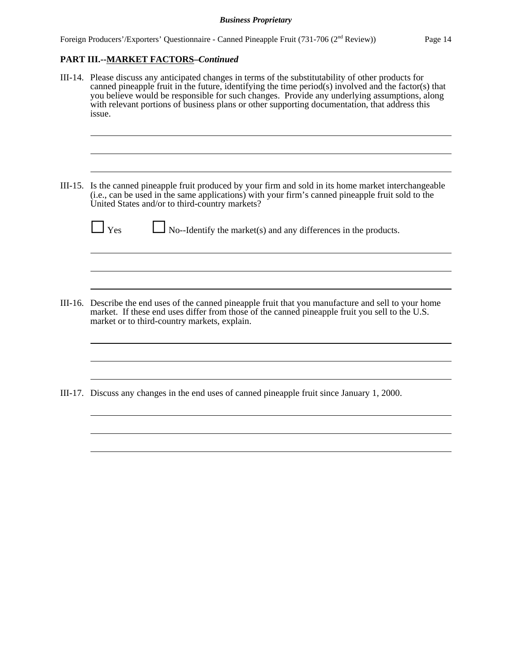# **PART III.--MARKET FACTORS–***Continued*

- III-14. Please discuss any anticipated changes in terms of the substitutability of other products for canned pineapple fruit in the future, identifying the time period(s) involved and the factor(s) that you believe would be responsible for such changes. Provide any underlying assumptions, along with relevant portions of business plans or other supporting documentation, that address this issue.
- III-15. Is the canned pineapple fruit produced by your firm and sold in its home market interchangeable (i.e., can be used in the same applications) with your firm's canned pineapple fruit sold to the United States and/or to third-country markets?

 $\Box$  Yes  $\Box$  No--Identify the market(s) and any differences in the products.

III-16. Describe the end uses of the canned pineapple fruit that you manufacture and sell to your home market. If these end uses differ from those of the canned pineapple fruit you sell to the U.S. market or to third-country markets, explain.

III-17. Discuss any changes in the end uses of canned pineapple fruit since January 1, 2000.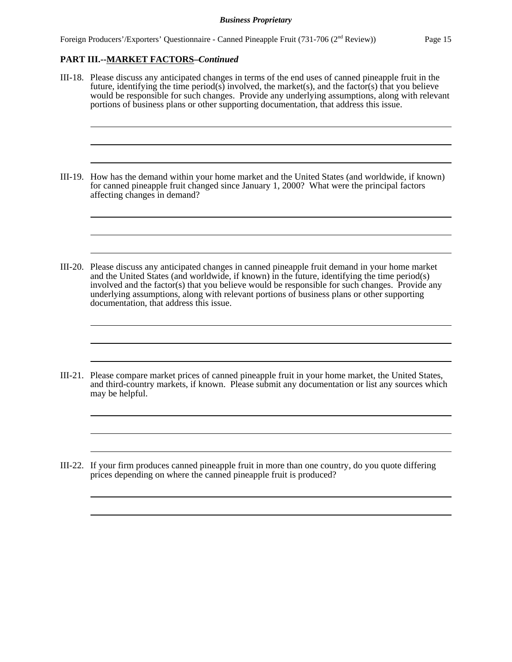# **PART III.--MARKET FACTORS–***Continued*

- III-18. Please discuss any anticipated changes in terms of the end uses of canned pineapple fruit in the future, identifying the time period(s) involved, the market(s), and the factor(s) that you believe would be responsible for such changes. Provide any underlying assumptions, along with relevant portions of business plans or other supporting documentation, that address this issue.
- III-19. How has the demand within your home market and the United States (and worldwide, if known) for canned pineapple fruit changed since January 1, 2000? What were the principal factors affecting changes in demand?
- III-20. Please discuss any anticipated changes in canned pineapple fruit demand in your home market and the United States (and worldwide, if known) in the future, identifying the time period(s) involved and the factor(s) that you believe would be responsible for such changes. Provide any underlying assumptions, along with relevant portions of business plans or other supporting documentation, that address this issue.
- III-21. Please compare market prices of canned pineapple fruit in your home market, the United States, and third-country markets, if known. Please submit any documentation or list any sources which may be helpful.
- III-22. If your firm produces canned pineapple fruit in more than one country, do you quote differing prices depending on where the canned pineapple fruit is produced?